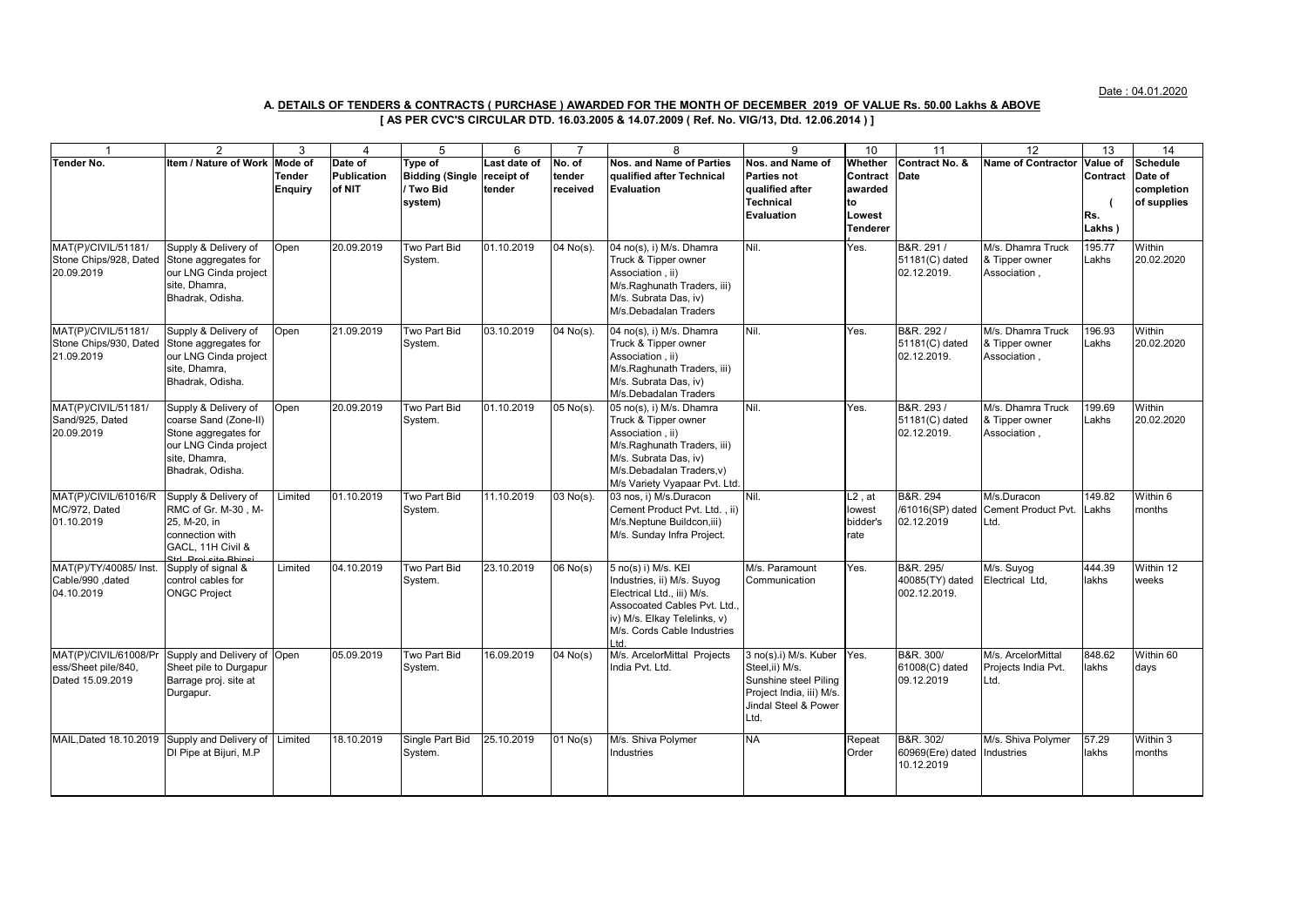Date : 04.01.2020

## **A. DETAILS OF TENDERS & CONTRACTS ( PURCHASE ) AWARDED FOR THE MONTH OF DECEMBER 2019 OF VALUE Rs. 50.00 Lakhs & ABOVE**

## **[ AS PER CVC'S CIRCULAR DTD. 16.03.2005 & 14.07.2009 ( Ref. No. VIG/13, Dtd. 12.06.2014 ) ]**

|                                               | 2                                             | 3              | $\overline{4}$     | 5                          | 6            |                       | 8                                                           | 9                                                 | 10 <sup>1</sup> | 11                            | 12                               | $\overline{13}$ | 14                 |
|-----------------------------------------------|-----------------------------------------------|----------------|--------------------|----------------------------|--------------|-----------------------|-------------------------------------------------------------|---------------------------------------------------|-----------------|-------------------------------|----------------------------------|-----------------|--------------------|
| Tender No.                                    | Item / Nature of Work                         | Mode of        | Date of            | Tvpe of                    | Last date of | No. of                | <b>Nos. and Name of Parties</b>                             | Nos. and Name of                                  | Whether         | Contract No. &                | Name of Contractor Value of      |                 | <b>Schedule</b>    |
|                                               |                                               | <b>Tender</b>  | <b>Publication</b> | <b>Bidding (Single</b>     | receipt of   | tender                | qualified after Technical                                   | <b>Parties not</b>                                | Contract        | Date                          |                                  | Contract        | Date of            |
|                                               |                                               | <b>Enquiry</b> | of NIT             | / Two Bid                  | tender       | received              | <b>Evaluation</b>                                           | qualified after                                   | awarded         |                               |                                  |                 | completion         |
|                                               |                                               |                |                    | system)                    |              |                       |                                                             | <b>Technical</b><br>Evaluation                    | to<br>Lowest    |                               |                                  | Rs.             | of supplies        |
|                                               |                                               |                |                    |                            |              |                       |                                                             |                                                   | <b>Tenderer</b> |                               |                                  | Lakhs)          |                    |
|                                               |                                               |                |                    |                            |              |                       |                                                             |                                                   |                 |                               |                                  |                 |                    |
| MAT(P)/CIVIL/51181/                           | Supply & Delivery of                          | Open           | 20.09.2019         | Two Part Bid               | 01.10.2019   | 04 No(s).             | 04 no(s), i) M/s. Dhamra                                    | Nil.                                              | Yes.            | B&R. 291 /                    | M/s. Dhamra Truck                | 195.77          | Within             |
| Stone Chips/928, Dated<br>20.09.2019          | Stone aggregates for<br>our LNG Cinda project |                |                    | System.                    |              |                       | Truck & Tipper owner<br>Association, ii)                    |                                                   |                 | 51181(C) dated<br>02.12.2019. | & Tipper owner<br>Association,   | Lakhs           | 20.02.2020         |
|                                               | site. Dhamra.                                 |                |                    |                            |              |                       | M/s.Raghunath Traders, iii)                                 |                                                   |                 |                               |                                  |                 |                    |
|                                               | Bhadrak, Odisha.                              |                |                    |                            |              |                       | M/s. Subrata Das, iv)                                       |                                                   |                 |                               |                                  |                 |                    |
|                                               |                                               |                |                    |                            |              |                       | M/s.Debadalan Traders                                       |                                                   |                 |                               |                                  |                 |                    |
| MAT(P)/CIVIL/51181/                           | Supply & Delivery of                          | Open           | 21.09.2019         | Two Part Bid               | 03.10.2019   | 04 No(s).             | 04 no(s), i) M/s. Dhamra                                    | Nil.                                              | Yes.            | B&R. 292/                     | M/s. Dhamra Truck                | 196.93          | Within             |
| Stone Chips/930, Dated                        | Stone aggregates for                          |                |                    | System.                    |              |                       | Truck & Tipper owner                                        |                                                   |                 | 51181(C) dated                | & Tipper owner                   | Lakhs           | 20.02.2020         |
| 21.09.2019                                    | our LNG Cinda project                         |                |                    |                            |              |                       | Association . ii)                                           |                                                   |                 | 02.12.2019.                   | Association,                     |                 |                    |
|                                               | site, Dhamra,                                 |                |                    |                            |              |                       | M/s.Raghunath Traders, iii)                                 |                                                   |                 |                               |                                  |                 |                    |
|                                               | Bhadrak, Odisha.                              |                |                    |                            |              |                       | M/s. Subrata Das. iv)                                       |                                                   |                 |                               |                                  |                 |                    |
| MAT(P)/CIVIL/51181/                           | Supply & Delivery of                          | Open           | 20.09.2019         | Two Part Bid               | 01.10.2019   | 05 No(s).             | M/s.Debadalan Traders<br>05 no(s), i) M/s. Dhamra           | Nil.                                              | Yes.            | B&R. 293/                     | M/s. Dhamra Truck                | 199.69          | Within             |
| Sand/925, Dated                               | coarse Sand (Zone-II)                         |                |                    | System.                    |              |                       | Truck & Tipper owner                                        |                                                   |                 | 51181(C) dated                | & Tipper owner                   | Lakhs           | 20.02.2020         |
| 20.09.2019                                    | Stone aggregates for                          |                |                    |                            |              |                       | Association . ii)                                           |                                                   |                 | 02.12.2019.                   | Association,                     |                 |                    |
|                                               | our LNG Cinda project                         |                |                    |                            |              |                       | M/s.Raghunath Traders, iii)                                 |                                                   |                 |                               |                                  |                 |                    |
|                                               | site, Dhamra,                                 |                |                    |                            |              |                       | M/s. Subrata Das, iv)                                       |                                                   |                 |                               |                                  |                 |                    |
|                                               | Bhadrak, Odisha.                              |                |                    |                            |              |                       | M/s.Debadalan Traders, v)                                   |                                                   |                 |                               |                                  |                 |                    |
| MAT(P)/CIVIL/61016/R                          | Supply & Delivery of                          | Limited        | 01.10.2019         | Two Part Bid               | 11.10.2019   | 03 No(s).             | M/s Variety Vyapaar Pvt. Ltd.<br>03 nos, i) M/s.Duracon     | Nil.                                              | $L2$ , at       | B&R. 294                      | M/s.Duracon                      | 149.82          | Within 6           |
| MC/972, Dated                                 | RMC of Gr. M-30, M-                           |                |                    | System.                    |              |                       | Cement Product Pvt. Ltd., ii)                               |                                                   | lowest          | /61016(SP) dated              | Cement Product Pvt.              | _akhs           | months             |
| 01.10.2019                                    | 25, M-20, in                                  |                |                    |                            |              |                       | M/s.Neptune Buildcon, iii)                                  |                                                   | bidder's        | 02.12.2019                    | Ltd.                             |                 |                    |
|                                               | connection with                               |                |                    |                            |              |                       | M/s. Sunday Infra Project.                                  |                                                   | rate            |                               |                                  |                 |                    |
|                                               | GACL. 11H Civil &<br>ned most also be         |                |                    |                            |              |                       |                                                             |                                                   |                 |                               |                                  |                 |                    |
| MAT(P)/TY/40085/ Inst.                        | Supply of signal &                            | Limited        | 04.10.2019         | Two Part Bid               | 23.10.2019   | $\overline{06}$ No(s) | 5 no(s) i) M/s. KEI                                         | M/s. Paramount                                    | Yes.            | B&R. 295/                     | M/s. Suyog                       | 444.39          | Within 12          |
| Cable/990, dated                              | control cables for                            |                |                    | System.                    |              |                       | Industries, ii) M/s. Suyog                                  | Communication                                     |                 | 40085(TY) dated               | Electrical Ltd,                  | lakhs           | weeks              |
| 04.10.2019                                    | <b>ONGC Project</b>                           |                |                    |                            |              |                       | Electrical Ltd., iii) M/s.                                  |                                                   |                 | 002.12.2019.                  |                                  |                 |                    |
|                                               |                                               |                |                    |                            |              |                       | Assocoated Cables Pvt. Ltd.,                                |                                                   |                 |                               |                                  |                 |                    |
|                                               |                                               |                |                    |                            |              |                       | iv) M/s. Elkay Telelinks, v)<br>M/s. Cords Cable Industries |                                                   |                 |                               |                                  |                 |                    |
|                                               |                                               |                |                    |                            |              |                       | td                                                          |                                                   |                 |                               |                                  |                 |                    |
| MAT(P)/CIVIL/61008/Pr                         | Supply and Delivery of Open                   |                | 05.09.2019         | Two Part Bid               | 16.09.2019   | $\sqrt{04}$ No(s)     | M/s. ArcelorMittal Projects                                 | 3 no(s).i) M/s. Kuber Yes.                        |                 | B&R. 300/                     | M/s. ArcelorMittal               | 848.62          | Within 60          |
| ess/Sheet pile/840,                           | Sheet pile to Durgapur                        |                |                    | System.                    |              |                       | India Pvt. Ltd.                                             | Steel,ii) M/s.                                    |                 | 61008(C) dated                | Projects India Pvt.              | lakhs           | days               |
| Dated 15.09.2019                              | Barrage proj. site at                         |                |                    |                            |              |                       |                                                             | Sunshine steel Piling<br>Project India, iii) M/s. |                 | 09.12.2019                    | Ltd.                             |                 |                    |
|                                               | Durgapur.                                     |                |                    |                            |              |                       |                                                             | Jindal Steel & Power                              |                 |                               |                                  |                 |                    |
|                                               |                                               |                |                    |                            |              |                       |                                                             | Ltd.                                              |                 |                               |                                  |                 |                    |
|                                               |                                               |                |                    |                            |              |                       |                                                             |                                                   |                 |                               |                                  |                 |                    |
| MAIL, Dated 18.10.2019 Supply and Delivery of | DI Pipe at Bijuri, M.P                        | Limited        | 18.10.2019         | Single Part Bid<br>System. | 25.10.2019   | $\overline{01}$ No(s) | M/s. Shiva Polymer<br>ndustries                             | <b>NA</b>                                         | Repeat<br>Order | B&R. 302/<br>60969(Ere) dated | M/s. Shiva Polymer<br>Industries | 57.29<br>lakhs  | Within 3<br>months |
|                                               |                                               |                |                    |                            |              |                       |                                                             |                                                   |                 | 10.12.2019                    |                                  |                 |                    |
|                                               |                                               |                |                    |                            |              |                       |                                                             |                                                   |                 |                               |                                  |                 |                    |
|                                               |                                               |                |                    |                            |              |                       |                                                             |                                                   |                 |                               |                                  |                 |                    |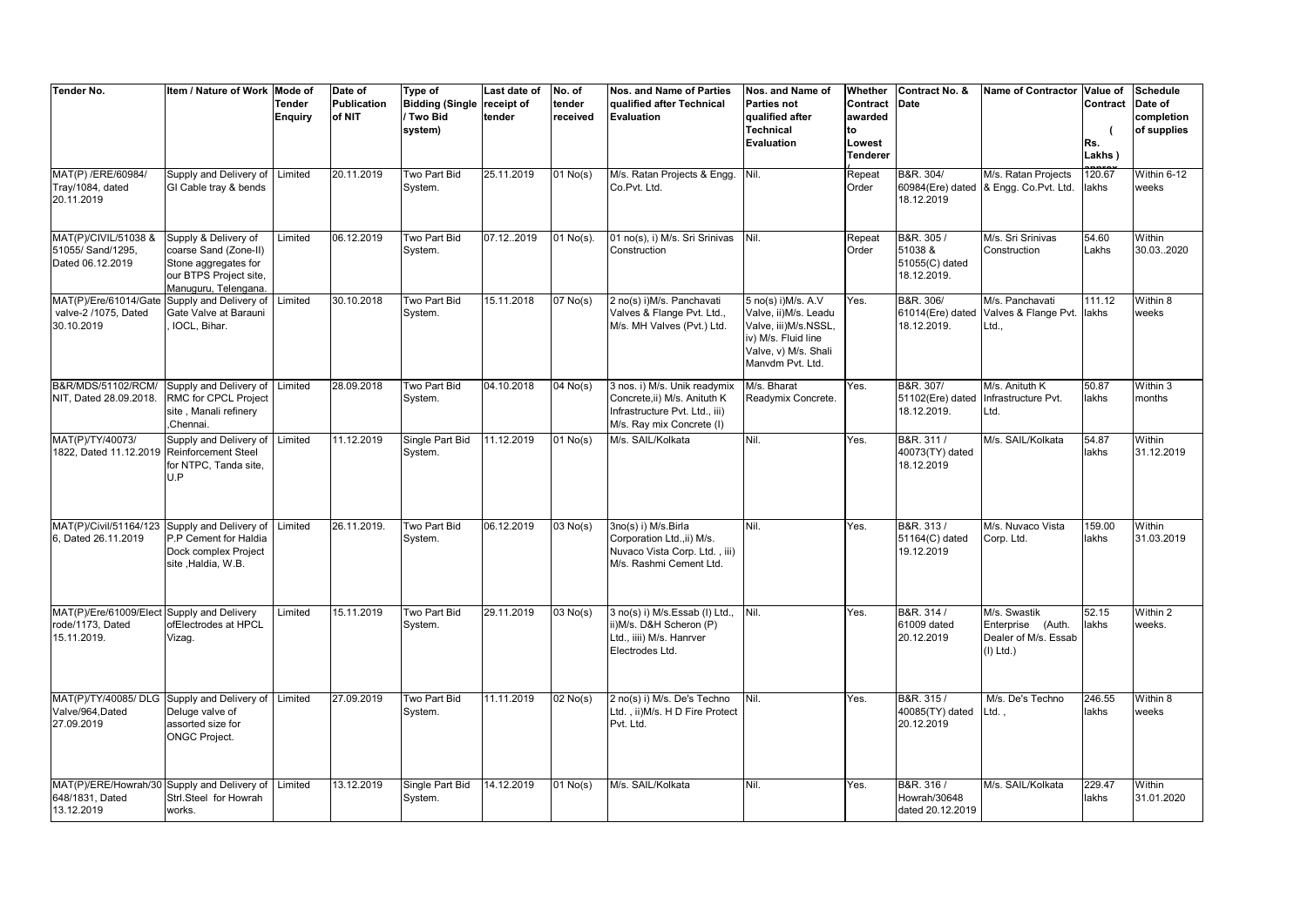| <b>Tender No.</b>                                                             | Item / Nature of Work                                                                                                   | Mode of<br><b>Tender</b><br>Enguiry | Date of<br><b>Publication</b><br>of NIT | Type of<br><b>Bidding (Single</b><br>/ Two Bid<br>system) | Last date of<br>receipt of<br>tender | No. of<br>tender<br>received | Nos. and Name of Parties<br>qualified after Technical<br>Evaluation                                                        | Nos. and Name of<br><b>Parties not</b><br>qualified after<br><b>Technical</b><br>Evaluation                                            | Whether<br>Contract<br>awarded<br>to<br>Lowest<br><b>Tenderer</b> | Contract No. &<br>Date                                | Name of Contractor Value of                                                 | Contract<br>Rs.<br>Lakhs) | <b>Schedule</b><br>Date of<br>completion<br>of supplies |
|-------------------------------------------------------------------------------|-------------------------------------------------------------------------------------------------------------------------|-------------------------------------|-----------------------------------------|-----------------------------------------------------------|--------------------------------------|------------------------------|----------------------------------------------------------------------------------------------------------------------------|----------------------------------------------------------------------------------------------------------------------------------------|-------------------------------------------------------------------|-------------------------------------------------------|-----------------------------------------------------------------------------|---------------------------|---------------------------------------------------------|
| MAT(P) /ERE/60984/<br>Tray/1084, dated<br>20.11.2019                          | Supply and Delivery of<br>GI Cable tray & bends                                                                         | Limited                             | 20.11.2019                              | Two Part Bid<br>System.                                   | 25.11.2019                           | $01$ No(s)                   | M/s. Ratan Projects & Engg.<br>Co.Pvt. Ltd.                                                                                | Nil.                                                                                                                                   | Repeat<br>Order                                                   | B&R. 304/<br>18.12.2019                               | M/s. Ratan Projects<br>60984(Ere) dated & Engg. Co.Pvt. Ltd.                | 120.67<br>lakhs           | Within 6-12<br>weeks                                    |
| MAT(P)/CIVIL/51038 &<br>51055/ Sand/1295,<br>Dated 06.12.2019                 | Supply & Delivery of<br>coarse Sand (Zone-II)<br>Stone aggregates for<br>our BTPS Project site,<br>Manuguru, Telengana. | Limited                             | 06.12.2019                              | Two Part Bid<br>System.                                   | 07.12.2019                           | $01$ No(s).                  | 01 no(s), i) M/s. Sri Srinivas<br>Construction                                                                             | Nil.                                                                                                                                   | Repeat<br>Order                                                   | B&R. 305/<br>51038 &<br>51055(C) dated<br>18.12.2019. | M/s. Sri Srinivas<br>Construction                                           | 54.60<br>Lakhs            | Within<br>30.032020                                     |
| MAT(P)/Ere/61014/Gate<br>valve-2 /1075, Dated<br>30.10.2019                   | Supply and Delivery of<br>Gate Valve at Barauni<br>IOCL, Bihar.                                                         | Limited                             | 30.10.2018                              | Two Part Bid<br>System.                                   | 15.11.2018                           | $07$ No(s)                   | 2 no(s) i)M/s. Panchavati<br>Valves & Flange Pvt. Ltd.,<br>M/s. MH Valves (Pvt.) Ltd.                                      | 5 no(s) i)M/s. A.V<br>Valve, ii) M/s. Leadu<br>Valve, iii)M/s.NSSL,<br>iv) M/s. Fluid line<br>Valve, v) M/s. Shali<br>Manvdm Pvt. Ltd. | Yes.                                                              | B&R. 306/<br>61014(Ere) dated<br>18.12.2019.          | M/s. Panchavati<br>Valves & Flange Pvt.<br>Ltd.,                            | 111.12<br>lakhs           | Within 8<br>weeks                                       |
| B&R/MDS/51102/RCM/<br>NIT, Dated 28.09.2018.                                  | Supply and Delivery of<br>RMC for CPCL Project<br>site, Manali refinery<br>Chennai.                                     | Limited                             | 28.09.2018                              | Two Part Bid<br>System.                                   | 04.10.2018                           | $04$ No(s)                   | 3 nos. i) M/s. Unik readymix<br>Concrete,ii) M/s. Anituth K<br>Infrastructure Pvt. Ltd., iii)<br>M/s. Ray mix Concrete (I) | M/s. Bharat<br>Readymix Concrete.                                                                                                      | Yes.                                                              | B&R. 307/<br>51102(Ere) dated<br>18.12.2019.          | M/s. Anituth K<br>Infrastructure Pvt.<br>Ltd.                               | 50.87<br>lakhs            | Within 3<br>months                                      |
| MAT(P)/TY/40073/<br>1822. Dated 11.12.2019                                    | Supply and Delivery of<br><b>Reinforcement Steel</b><br>for NTPC, Tanda site,<br>U.P                                    | Limited                             | 11.12.2019                              | Single Part Bid<br>System.                                | 11.12.2019                           | $01$ No(s)                   | M/s. SAIL/Kolkata                                                                                                          | Nil.                                                                                                                                   | Yes.                                                              | B&R. 311/<br>40073(TY) dated<br>18.12.2019            | M/s. SAIL/Kolkata                                                           | 54.87<br>lakhs            | Within<br>31.12.2019                                    |
| MAT(P)/Civil/51164/123<br>6, Dated 26.11.2019                                 | Supply and Delivery of<br>P.P Cement for Haldia<br>Dock complex Project<br>site , Haldia, W.B.                          | Limited                             | 26.11.2019.                             | Two Part Bid<br>System.                                   | 06.12.2019                           | $\overline{03}$ No(s)        | 3no(s) i) M/s.Birla<br>Corporation Ltd., ii) M/s.<br>Nuvaco Vista Corp. Ltd., iii)<br>M/s. Rashmi Cement Ltd.              | Nil.                                                                                                                                   | Yes.                                                              | B&R. 313/<br>51164(C) dated<br>19.12.2019             | M/s. Nuvaco Vista<br>Corp. Ltd.                                             | 159.00<br>lakhs           | Within<br>31.03.2019                                    |
| MAT(P)/Ere/61009/Elect Supply and Delivery<br>rode/1173. Dated<br>15.11.2019. | ofElectrodes at HPCL<br>Vizag.                                                                                          | Limited                             | 15.11.2019                              | Two Part Bid<br>System.                                   | 29.11.2019                           | $03$ No(s)                   | 3 no(s) i) M/s.Essab (l) Ltd.,<br>i)M/s. D&H Scheron (P)<br>Ltd., iiii) M/s. Hanrver<br>Electrodes Ltd.                    | Nil.                                                                                                                                   | Yes.                                                              | B&R. 314 /<br>61009 dated<br>20.12.2019               | M/s. Swastik<br>Enterprise<br>(Auth.<br>Dealer of M/s. Essab<br>$(I)$ Ltd.) | 52.15<br>lakhs            | Within 2<br>weeks.                                      |
| MAT(P)/TY/40085/ DLG<br>Valve/964.Dated<br>27.09.2019                         | Supply and Delivery of<br>Deluge valve of<br>assorted size for<br><b>ONGC Project.</b>                                  | Limited                             | 27.09.2019                              | Two Part Bid<br>System.                                   | 11.11.2019                           | $02$ No(s)                   | 2 no(s) i) M/s. De's Techno<br>Ltd., ii)M/s. H D Fire Protect<br>Pvt. Ltd.                                                 | Nil.                                                                                                                                   | Yes.                                                              | B&R. 315/<br>40085(TY) dated<br>20.12.2019            | M/s. De's Techno<br>Ltd.                                                    | 246.55<br>lakhs           | Within 8<br>weeks                                       |
| MAT(P)/ERE/Howrah/30 Supply and Delivery of<br>648/1831. Dated<br>13.12.2019  | Strl.Steel for Howrah<br>works.                                                                                         | Limited                             | 13.12.2019                              | Single Part Bid<br>System.                                | 14.12.2019                           | $01$ No(s)                   | M/s. SAIL/Kolkata                                                                                                          | Nil.                                                                                                                                   | Yes.                                                              | B&R. 316/<br>Howrah/30648<br>dated 20.12.2019         | M/s. SAIL/Kolkata                                                           | 229.47<br>lakhs           | Within<br>31.01.2020                                    |